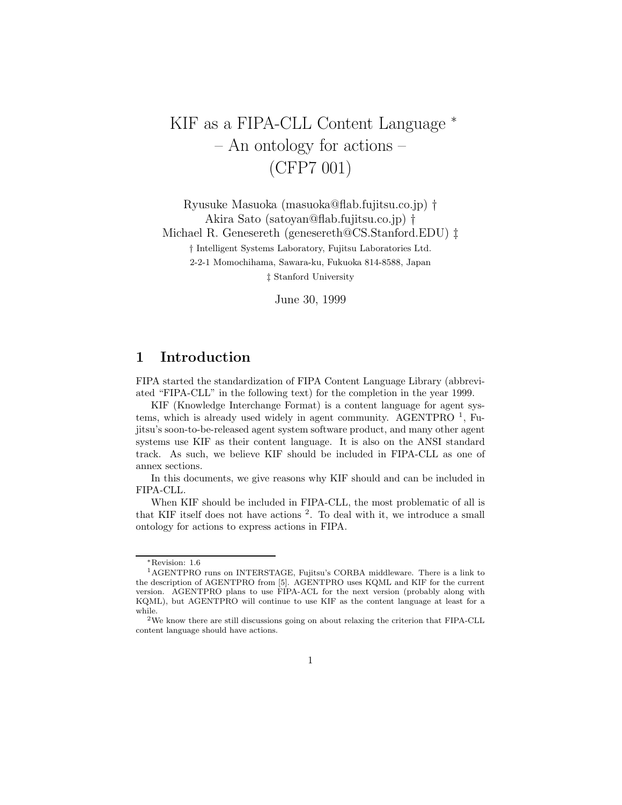# KIF as a FIPA-CLL Content Language  $*$  - An ontology for actions - $(CFP7001)$  $(277 \cdot 27)$

Ryusuke Masuoka (masuoka@flab.fujitsu.co.jp) † Akira Sato (satoyan@flab.fujitsu.co.jp) † Michael R. Genesereth (genesereth@CS.Stanford.EDU) ‡ *†* Intelligent Systems Laboratory, Fujitsu Laboratories Ltd. 2-2-1 Momochihama, Sawara-ku, Fukuoka 814-8588, Japan *‡* Stanford University

June 30, 1999

# **1 Introduction**

FIPA started the standardization of FIPA Content Language Library (abbreviated "FIPA-CLL" in the following text) for the completion in the year 1999.

KIF (Knowledge Interchange Format) is a content language for agent systems, which is already used widely in agent community. AGENTPRO  $<sup>1</sup>$ , Fu-</sup> jitsu's soon-to-be-released agent system software product, and many other agent systems use KIF as their content language. It is also on the ANSI standard track. As such, we believe KIF should be included in FIPA-CLL as one of annex sections.

In this documents, we give reasons why KIF should and can be included in FIPA-CLL.

When KIF should be included in FIPA-CLL, the most problematic of all is that KIF itself does not have actions <sup>2</sup>. To deal with it, we introduce a small ontology for actions to express actions in FIPA.

<sup>∗</sup>Revision: 1.6

<sup>1</sup>AGENTPRO runs on INTERSTAGE, Fujitsu's CORBA middleware. There is a link to the description of AGENTPRO from [5]. AGENTPRO uses KQML and KIF for the current version. AGENTPRO plans to use FIPA-ACL for the next version (probably along with KQML), but AGENTPRO will continue to use KIF as the content language at least for a while.

 $^2\rm{We}$  know there are still discussions going on about relaxing the criterion that FIPA-CLL content language should have actions.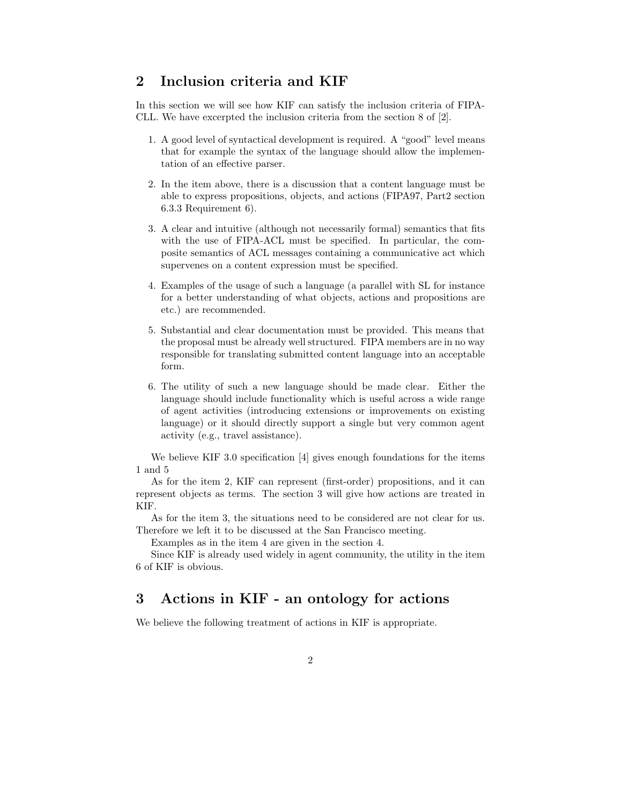### **2 Inclusion criteria and KIF**

In this section we will see how KIF can satisfy the inclusion criteria of FIPA-CLL. We have excerpted the inclusion criteria from the section 8 of [2].

- 1. A good level of syntactical development is required. A "good" level means that for example the syntax of the language should allow the implementation of an effective parser.
- 2. In the item above, there is a discussion that a content language must be able to express propositions, objects, and actions (FIPA97, Part2 section 6.3.3 Requirement 6).
- 3. A clear and intuitive (although not necessarily formal) semantics that fits with the use of FIPA-ACL must be specified. In particular, the composite semantics of ACL messages containing a communicative act which supervenes on a content expression must be specified.
- 4. Examples of the usage of such a language (a parallel with SL for instance for a better understanding of what objects, actions and propositions are etc.) are recommended.
- 5. Substantial and clear documentation must be provided. This means that the proposal must be already well structured. FIPA members are in no way responsible for translating submitted content language into an acceptable form.
- 6. The utility of such a new language should be made clear. Either the language should include functionality which is useful across a wide range of agent activities (introducing extensions or improvements on existing language) or it should directly support a single but very common agent activity (e.g., travel assistance).

We believe KIF 3.0 specification [4] gives enough foundations for the items 1 and 5

As for the item 2, KIF can represent (first-order) propositions, and it can represent objects as terms. The section 3 will give how actions are treated in KIF.

As for the item 3, the situations need to be considered are not clear for us. Therefore we left it to be discussed at the San Francisco meeting.

Examples as in the item 4 are given in the section 4.

Since KIF is already used widely in agent community, the utility in the item 6 of KIF is obvious.

## **3 Actions in KIF - an ontology for actions**

We believe the following treatment of actions in KIF is appropriate.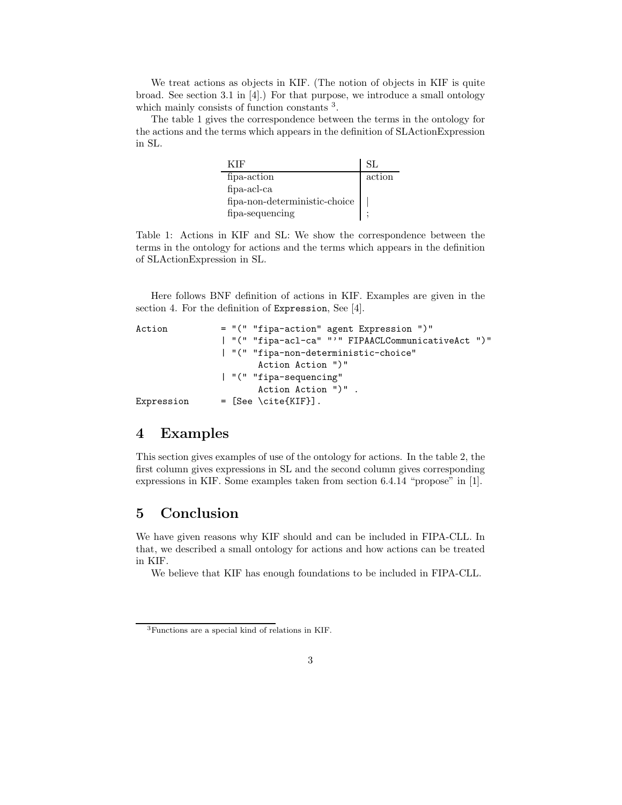We treat actions as objects in KIF. (The notion of objects in KIF is quite broad. See section 3.1 in [4].) For that purpose, we introduce a small ontology which mainly consists of function constants  $3$ .

The table 1 gives the correspondence between the terms in the ontology for the actions and the terms which appears in the definition of SLActionExpression in SL.

| KIE                           | SL.    |
|-------------------------------|--------|
| fipa-action                   | action |
| $fipa-acl-ca$                 |        |
| fipa-non-deterministic-choice |        |
| fipa-sequencing               |        |

Table 1: Actions in KIF and SL: We show the correspondence between the terms in the ontology for actions and the terms which appears in the definition of SLActionExpression in SL.

Here follows BNF definition of actions in KIF. Examples are given in the section 4. For the definition of Expression, See [4].

```
Action = "(" "fipa-action" agent Expression ")"
               | "(" "fipa-acl-ca" "'" FIPAACLCommunicativeAct ")"
               | "(" "fipa-non-deterministic-choice"
                      Action Action ")"
               | "(" "fipa-sequencing"
                      Action Action ")" .
Expression = [See \ \{cite{KIF}\}].
```
### **4 Examples**

This section gives examples of use of the ontology for actions. In the table 2, the first column gives expressions in SL and the second column gives corresponding expressions in KIF. Some examples taken from section 6.4.14 "propose" in [1].

### **5 Conclusion**

We have given reasons why KIF should and can be included in FIPA-CLL. In that, we described a small ontology for actions and how actions can be treated in KIF.

We believe that KIF has enough foundations to be included in FIPA-CLL.

<sup>3</sup>Functions are a special kind of relations in KIF.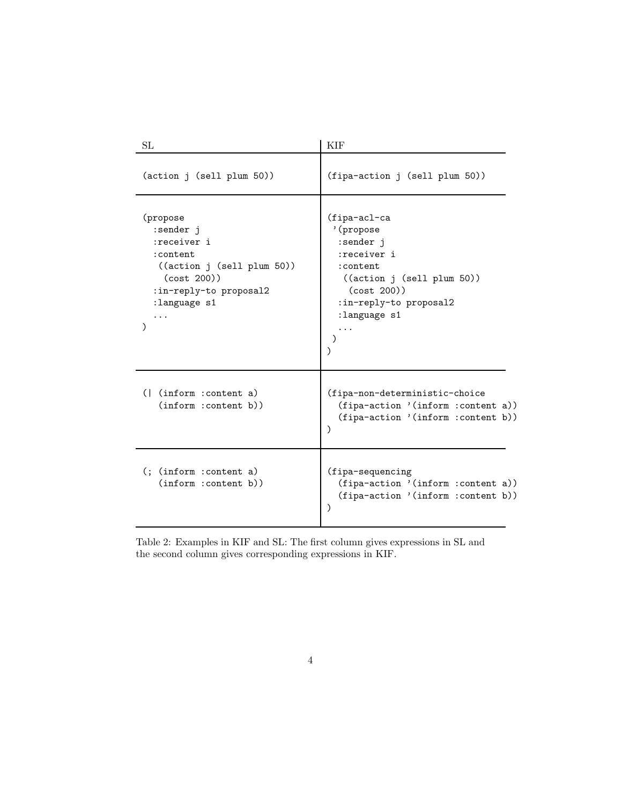| SL                                                                                                                                                    | KIF                                                                                                                                                     |
|-------------------------------------------------------------------------------------------------------------------------------------------------------|---------------------------------------------------------------------------------------------------------------------------------------------------------|
| (action j (sell plum 50))                                                                                                                             | (fipa-action j (sell plum 50))                                                                                                                          |
| (propose<br>:sender j<br>:receiver i<br>: content<br>((action j (sell plum 50))<br>(cost 200))<br>:in-reply-to proposal2<br>:language s1<br>$\lambda$ | (fipa-acl-ca<br>'(propose<br>:sender j<br>:receiver i<br>:content<br>((action j (sell plum 50))<br>(cost 200)<br>:in-reply-to proposal2<br>:language s1 |
| (  (inform : content a)<br>(inform :content b))                                                                                                       | (fipa-non-deterministic-choice<br>(fipa-action '(inform :content a))<br>(fipa-action '(inform :content b))<br>$\lambda$                                 |
| $($ ; $(inform : content a)$<br>(inform :content b))                                                                                                  | (fipa-sequencing<br>(fipa-action '(inform : content a))<br>(fipa-action '(inform : content b))<br>$\mathcal{E}$                                         |

Table 2: Examples in KIF and SL: The first column gives expressions in SL and the second column gives corresponding expressions in KIF.